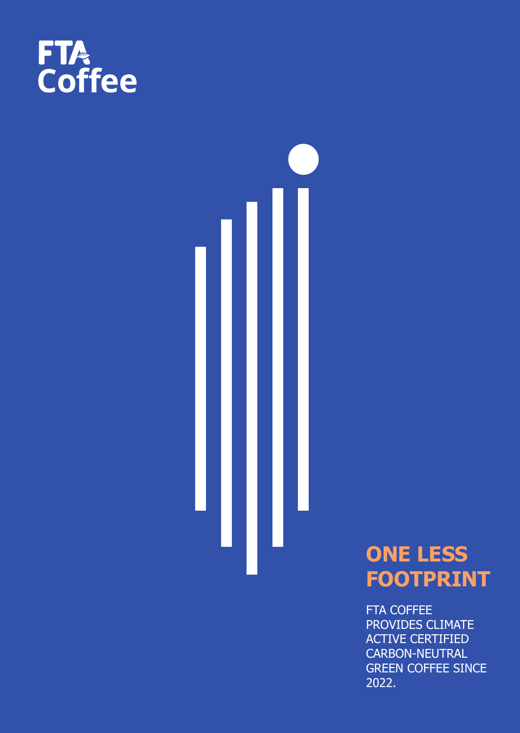



# **ONE LESS FOOTPRINT**

FTA COFFEE PROVIDES CLIMATE ACTIVE CERTIFIED CARBON-NEUTRAL GREEN COFFEE SINCE 2022.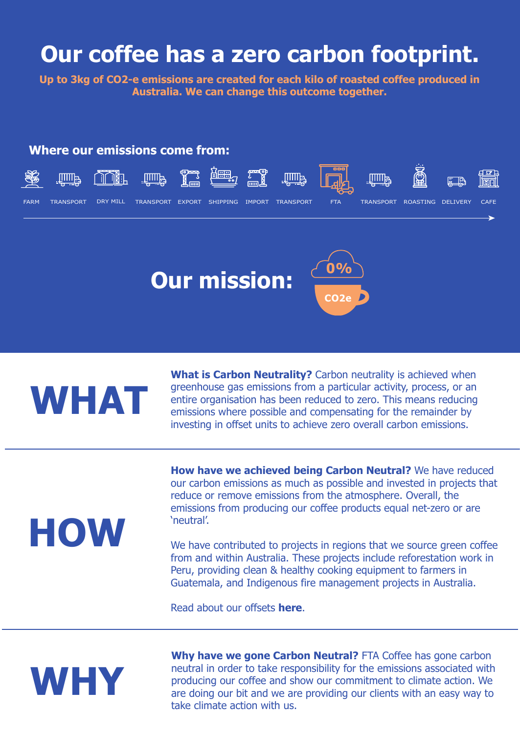### **Our coffee has a zero carbon footprint.**

**Up to 3kg of CO2-e emissions are created for each kilo of roasted coffee produced in Australia. We can change this outcome together.**

#### **Where our emissions come from:**







# **WHAT**

**What is Carbon Neutrality?** Carbon neutrality is achieved when greenhouse gas emissions from a particular activity, process, or an entire organisation has been reduced to zero. This means reducing emissions where possible and compensating for the remainder by investing in offset units to achieve zero overall carbon emissions.

# **HOW**

**How have we achieved being Carbon Neutral?** We have reduced our carbon emissions as much as possible and invested in projects that reduce or remove emissions from the atmosphere. Overall, the emissions from producing our coffee products equal net-zero or are 'neutral'.

We have contributed to projects in regions that we source green coffee from and within Australia. These projects include reforestation work in Peru, providing clean & healthy cooking equipment to farmers in Guatemala, and Indigenous fire management projects in Australia.

Read about our offsets **[here](www.ftacoffee.com.au/sustainability)**.



**Why have we gone Carbon Neutral?** FTA Coffee has gone carbon neutral in order to take responsibility for the emissions associated with producing our coffee and show our commitment to climate action. We are doing our bit and we are providing our clients with an easy way to take climate action with us.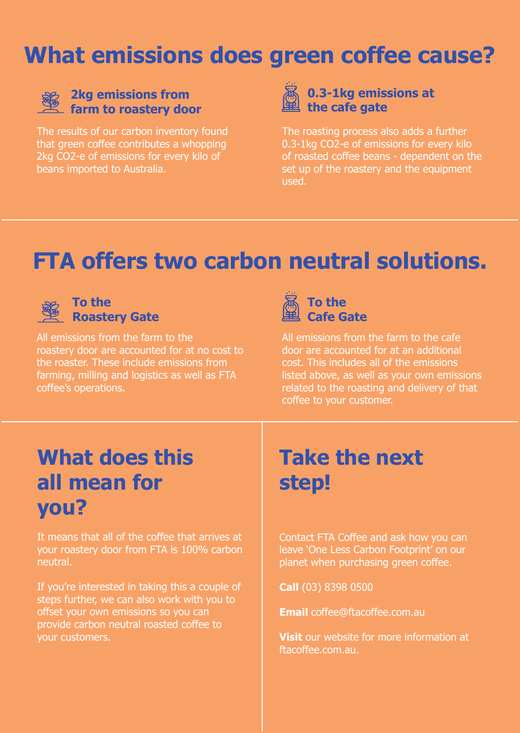## **What emissions does green coffee cause?**



#### **2kg emissions from farm to roastery door**

The results of our carbon inventory found that green coffee contributes a whopping 2kg CO2-e of emissions for every kilo of beans imported to Australia.



The roasting process also adds a further 0.3-1kg CO2-e of emissions for every kilo of roasted coffee beans - dependent on the set up of the roastery and the equipment used.

# **FTA offers two carbon neutral solutions.**



#### **To the Roastery Gate**

All emissions from the farm to the roastery door are accounted for at no cost to the roaster. These include emissions from farming, milling and logistics as well as FTA coffee's operations.



All emissions from the farm to the cafe door are accounted for at an additional cost. This includes all of the emissions listed above, as well as your own emissions related to the roasting and delivery of that coffee to your customer.

## **What does this all mean for you?**

It means that all of the coffee that arrives at your roastery door from FTA is 100% carbon neutral.

If you're interested in taking this a couple of steps further, we can also work with you to offset your own emissions so you can provide carbon neutral roasted coffee to your customers.

## **Take the next step!**

Contact FTA Coffee and ask how you can leave 'One Less Carbon Footprint' on our planet when purchasing green coffee.

**Call** (03) 8398 0500

**Email** coffee@ftacoffee.com.au

**Visit** our website for more information at [ftacoffee.com.au.](www.ftacoffee.com.au/sustainability)